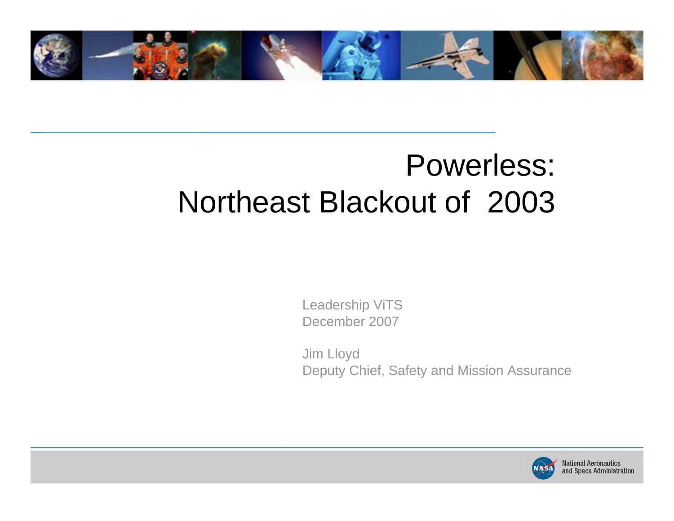

# Powerless: Northeast Blackout of 2003

Leadership ViTS December 2007

Jim Lloyd Deputy Chief, Safety and Mission Assurance

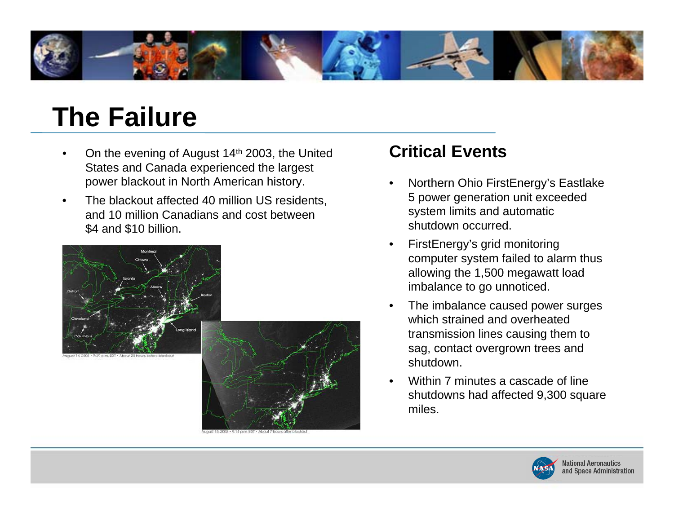

### **The Failure**

- •On the evening of August 14<sup>th</sup> 2003, the United States and Canada experienced the largest power blackout in North American history.
- • The blackout affected 40 million US residents, and 10 million Canadians and cost between \$4 and \$10 billion.



#### **Critical Events**

- • Northern Ohio FirstEnergy's Eastlake 5 power generation unit exceeded system limits and automatic shutdown occurred.
- • FirstEnergy's grid monitoring computer system failed to alarm thus allowing the 1,500 megawatt load imbalance to go unnoticed.
- • The imbalance caused power surges which strained and overheated transmission lines causing them to sag, contact overgrown trees and shutdown.
- • Within 7 minutes a cascade of line shutdowns had affected 9,300 square miles.

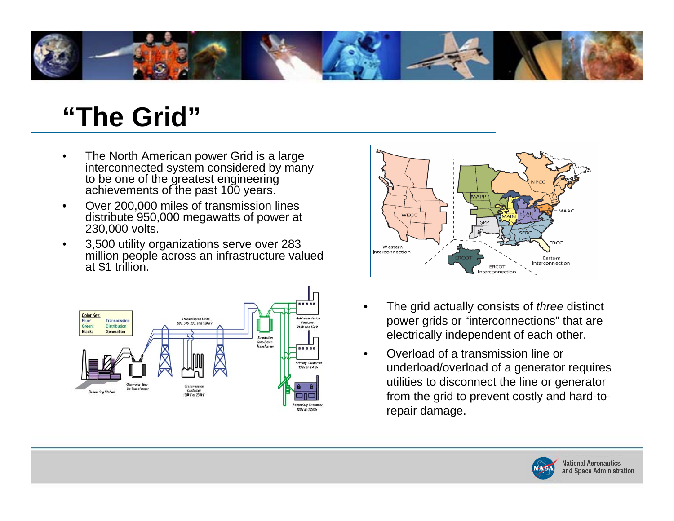

### **"The Grid"**

- • The North American power Grid is a large interconnected system considered by many to be one of the greatest engineering achievements of the past 100 years.
- • Over 200,000 miles of transmission lines distribute 950,000 megawatts of power at 230,000 volts.
- • 3,500 utility organizations serve over 283 million people across an infrastructure valued at \$1 trillion.





- • The grid actually consists of *three* distinct power grids or "interconnections" that are electrically independent of each other.
- • Overload of a transmission line or underload/overload of a generator requires utilities to disconnect the line or generator from the grid to prevent costly and hard-torepair damage.

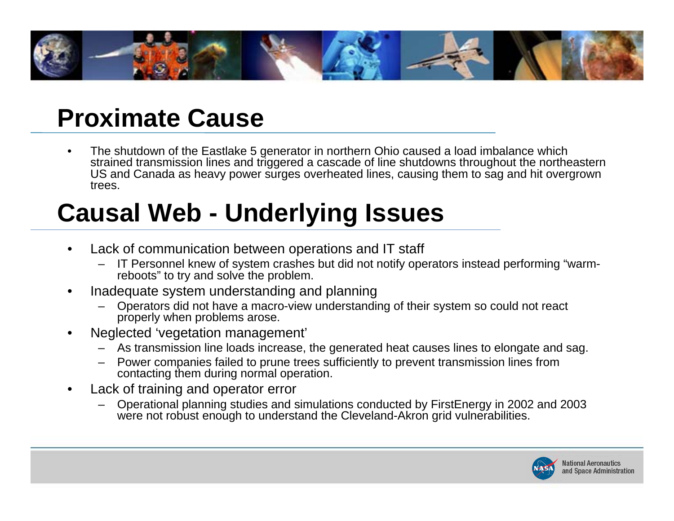

#### **Proximate Cause**

• The shutdown of the Eastlake 5 generator in northern Ohio caused a load imbalance which strained transmission lines and triggered a cascade of line shutdowns throughout the northeastern U S and Canada as heavy power surges overheated lines, causing them to sag and hit overgrown trees.

# **Causal Web - Underlying Issues**

- • Lack of communication between operations and IT staff
	- IT Personnel knew of system crashes but did not notify operators instead performing "warmreboots" to try and solve the problem.
- • Inadequate system understanding and planning
	- Operators did not have a macro-view understanding of their system so could not react properly when problems arose.
- •Neglected 'vegetation management'
	- $\,$  As transmission line loads increase, the generated heat causes lines to elongate and sag.
	- –Power companies failed to prune trees sufficiently to prevent transmission lines from contacting them during normal operation.
- • Lack of training and operator error
	- Operational planning studies and simulations conducted by FirstEnergy in 2002 and 2003 were not robust enough to understand the Cleveland-Akron grid vulnerabilities.